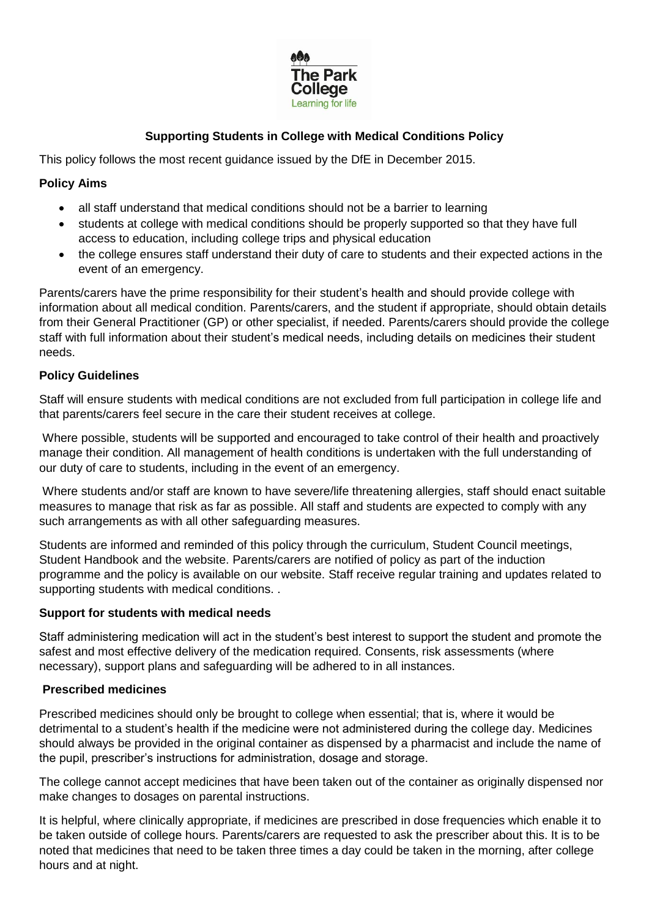

# **Supporting Students in College with Medical Conditions Policy**

This policy follows the most recent guidance issued by the DfE in December 2015.

### **Policy Aims**

- all staff understand that medical conditions should not be a barrier to learning
- students at college with medical conditions should be properly supported so that they have full access to education, including college trips and physical education
- the college ensures staff understand their duty of care to students and their expected actions in the event of an emergency.

Parents/carers have the prime responsibility for their student's health and should provide college with information about all medical condition. Parents/carers, and the student if appropriate, should obtain details from their General Practitioner (GP) or other specialist, if needed. Parents/carers should provide the college staff with full information about their student's medical needs, including details on medicines their student needs.

#### **Policy Guidelines**

Staff will ensure students with medical conditions are not excluded from full participation in college life and that parents/carers feel secure in the care their student receives at college.

Where possible, students will be supported and encouraged to take control of their health and proactively manage their condition. All management of health conditions is undertaken with the full understanding of our duty of care to students, including in the event of an emergency.

Where students and/or staff are known to have severe/life threatening allergies, staff should enact suitable measures to manage that risk as far as possible. All staff and students are expected to comply with any such arrangements as with all other safeguarding measures.

Students are informed and reminded of this policy through the curriculum, Student Council meetings, Student Handbook and the website. Parents/carers are notified of policy as part of the induction programme and the policy is available on our website. Staff receive regular training and updates related to supporting students with medical conditions. .

#### **Support for students with medical needs**

Staff administering medication will act in the student's best interest to support the student and promote the safest and most effective delivery of the medication required. Consents, risk assessments (where necessary), support plans and safeguarding will be adhered to in all instances.

#### **Prescribed medicines**

Prescribed medicines should only be brought to college when essential; that is, where it would be detrimental to a student's health if the medicine were not administered during the college day. Medicines should always be provided in the original container as dispensed by a pharmacist and include the name of the pupil, prescriber's instructions for administration, dosage and storage.

The college cannot accept medicines that have been taken out of the container as originally dispensed nor make changes to dosages on parental instructions.

It is helpful, where clinically appropriate, if medicines are prescribed in dose frequencies which enable it to be taken outside of college hours. Parents/carers are requested to ask the prescriber about this. It is to be noted that medicines that need to be taken three times a day could be taken in the morning, after college hours and at night.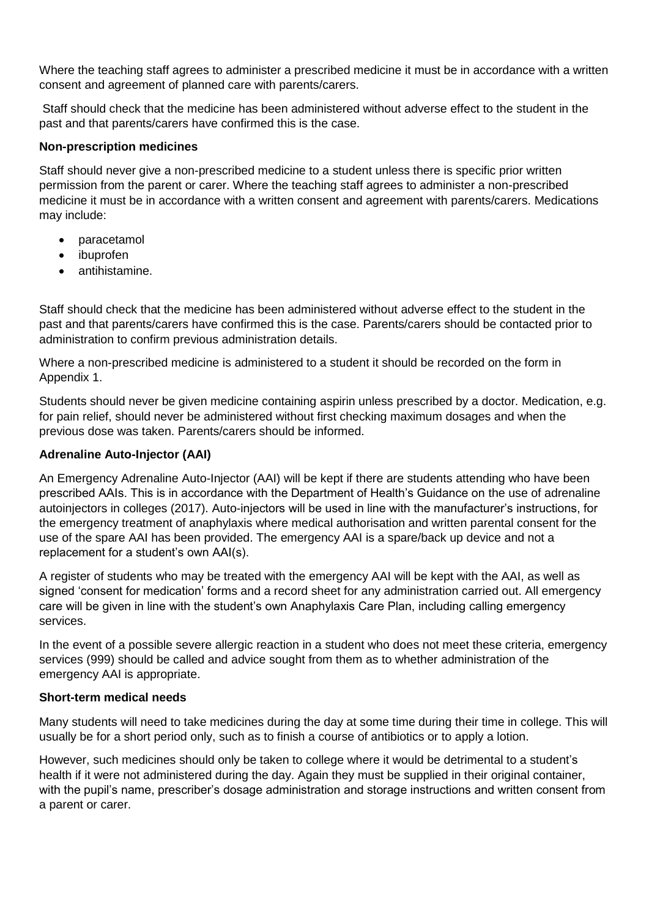Where the teaching staff agrees to administer a prescribed medicine it must be in accordance with a written consent and agreement of planned care with parents/carers.

Staff should check that the medicine has been administered without adverse effect to the student in the past and that parents/carers have confirmed this is the case.

### **Non-prescription medicines**

Staff should never give a non-prescribed medicine to a student unless there is specific prior written permission from the parent or carer. Where the teaching staff agrees to administer a non-prescribed medicine it must be in accordance with a written consent and agreement with parents/carers. Medications may include:

- paracetamol
- ibuprofen
- antihistamine.

Staff should check that the medicine has been administered without adverse effect to the student in the past and that parents/carers have confirmed this is the case. Parents/carers should be contacted prior to administration to confirm previous administration details.

Where a non-prescribed medicine is administered to a student it should be recorded on the form in Appendix 1.

Students should never be given medicine containing aspirin unless prescribed by a doctor. Medication, e.g. for pain relief, should never be administered without first checking maximum dosages and when the previous dose was taken. Parents/carers should be informed.

### **Adrenaline Auto-Injector (AAI)**

An Emergency Adrenaline Auto-Injector (AAI) will be kept if there are students attending who have been prescribed AAIs. This is in accordance with the Department of Health's Guidance on the use of adrenaline autoinjectors in colleges (2017). Auto-injectors will be used in line with the manufacturer's instructions, for the emergency treatment of anaphylaxis where medical authorisation and written parental consent for the use of the spare AAI has been provided. The emergency AAI is a spare/back up device and not a replacement for a student's own AAI(s).

A register of students who may be treated with the emergency AAI will be kept with the AAI, as well as signed 'consent for medication' forms and a record sheet for any administration carried out. All emergency care will be given in line with the student's own Anaphylaxis Care Plan, including calling emergency services.

In the event of a possible severe allergic reaction in a student who does not meet these criteria, emergency services (999) should be called and advice sought from them as to whether administration of the emergency AAI is appropriate.

#### **Short-term medical needs**

Many students will need to take medicines during the day at some time during their time in college. This will usually be for a short period only, such as to finish a course of antibiotics or to apply a lotion.

However, such medicines should only be taken to college where it would be detrimental to a student's health if it were not administered during the day. Again they must be supplied in their original container, with the pupil's name, prescriber's dosage administration and storage instructions and written consent from a parent or carer.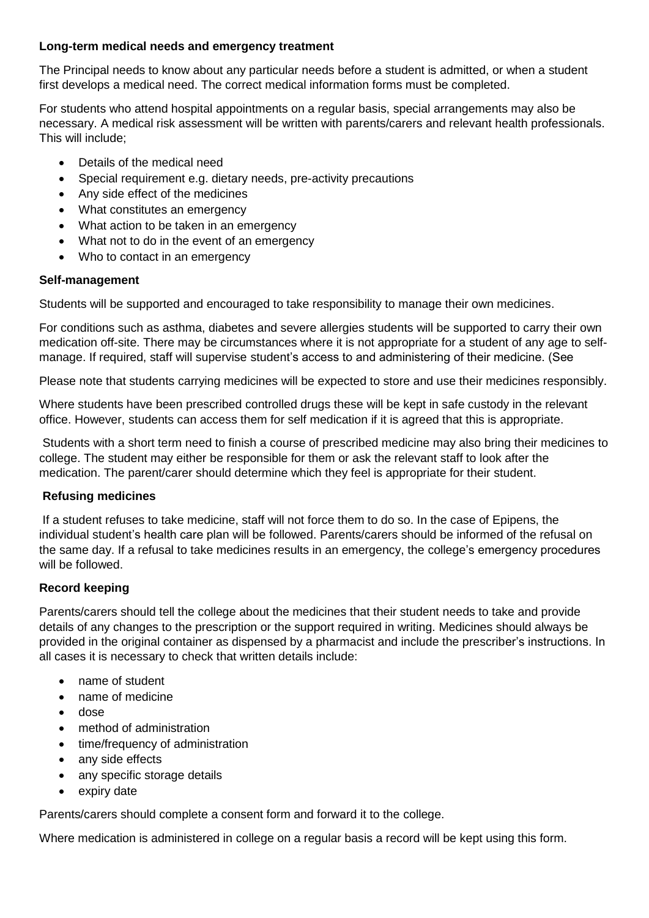### **Long-term medical needs and emergency treatment**

The Principal needs to know about any particular needs before a student is admitted, or when a student first develops a medical need. The correct medical information forms must be completed.

For students who attend hospital appointments on a regular basis, special arrangements may also be necessary. A medical risk assessment will be written with parents/carers and relevant health professionals. This will include;

- Details of the medical need
- Special requirement e.g. dietary needs, pre-activity precautions
- Any side effect of the medicines
- What constitutes an emergency
- What action to be taken in an emergency
- What not to do in the event of an emergency
- Who to contact in an emergency

### **Self-management**

Students will be supported and encouraged to take responsibility to manage their own medicines.

For conditions such as asthma, diabetes and severe allergies students will be supported to carry their own medication off-site. There may be circumstances where it is not appropriate for a student of any age to selfmanage. If required, staff will supervise student's access to and administering of their medicine. (See

Please note that students carrying medicines will be expected to store and use their medicines responsibly.

Where students have been prescribed controlled drugs these will be kept in safe custody in the relevant office. However, students can access them for self medication if it is agreed that this is appropriate.

Students with a short term need to finish a course of prescribed medicine may also bring their medicines to college. The student may either be responsible for them or ask the relevant staff to look after the medication. The parent/carer should determine which they feel is appropriate for their student.

## **Refusing medicines**

If a student refuses to take medicine, staff will not force them to do so. In the case of Epipens, the individual student's health care plan will be followed. Parents/carers should be informed of the refusal on the same day. If a refusal to take medicines results in an emergency, the college's emergency procedures will be followed.

## **Record keeping**

Parents/carers should tell the college about the medicines that their student needs to take and provide details of any changes to the prescription or the support required in writing. Medicines should always be provided in the original container as dispensed by a pharmacist and include the prescriber's instructions. In all cases it is necessary to check that written details include:

- name of student
- name of medicine
- dose
- method of administration
- time/frequency of administration
- any side effects
- any specific storage details
- expiry date

Parents/carers should complete a consent form and forward it to the college.

Where medication is administered in college on a regular basis a record will be kept using this form.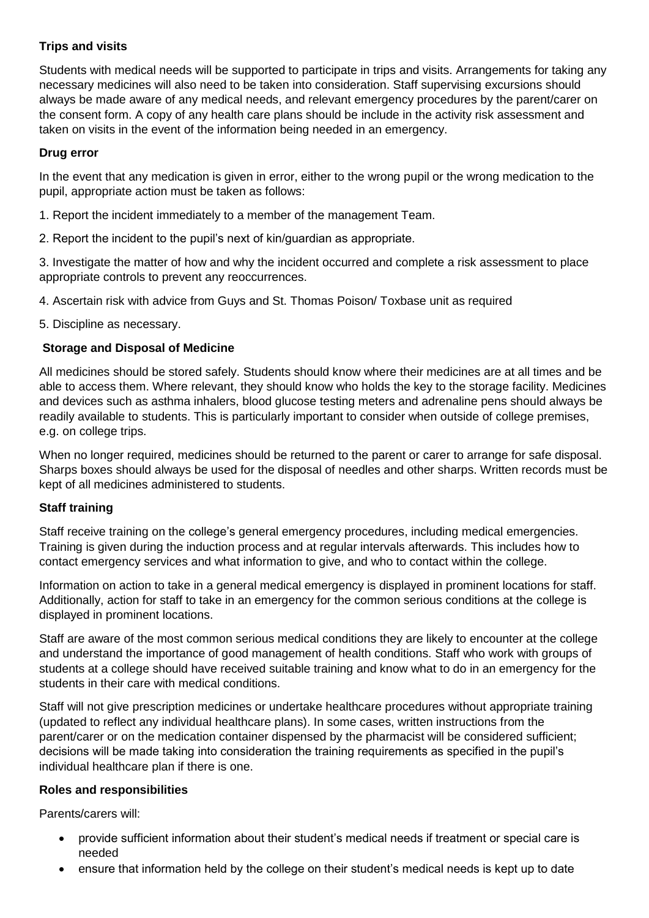# **Trips and visits**

Students with medical needs will be supported to participate in trips and visits. Arrangements for taking any necessary medicines will also need to be taken into consideration. Staff supervising excursions should always be made aware of any medical needs, and relevant emergency procedures by the parent/carer on the consent form. A copy of any health care plans should be include in the activity risk assessment and taken on visits in the event of the information being needed in an emergency.

## **Drug error**

In the event that any medication is given in error, either to the wrong pupil or the wrong medication to the pupil, appropriate action must be taken as follows:

- 1. Report the incident immediately to a member of the management Team.
- 2. Report the incident to the pupil's next of kin/guardian as appropriate.

3. Investigate the matter of how and why the incident occurred and complete a risk assessment to place appropriate controls to prevent any reoccurrences.

4. Ascertain risk with advice from Guys and St. Thomas Poison/ Toxbase unit as required

5. Discipline as necessary.

## **Storage and Disposal of Medicine**

All medicines should be stored safely. Students should know where their medicines are at all times and be able to access them. Where relevant, they should know who holds the key to the storage facility. Medicines and devices such as asthma inhalers, blood glucose testing meters and adrenaline pens should always be readily available to students. This is particularly important to consider when outside of college premises, e.g. on college trips.

When no longer required, medicines should be returned to the parent or carer to arrange for safe disposal. Sharps boxes should always be used for the disposal of needles and other sharps. Written records must be kept of all medicines administered to students.

## **Staff training**

Staff receive training on the college's general emergency procedures, including medical emergencies. Training is given during the induction process and at regular intervals afterwards. This includes how to contact emergency services and what information to give, and who to contact within the college.

Information on action to take in a general medical emergency is displayed in prominent locations for staff. Additionally, action for staff to take in an emergency for the common serious conditions at the college is displayed in prominent locations.

Staff are aware of the most common serious medical conditions they are likely to encounter at the college and understand the importance of good management of health conditions. Staff who work with groups of students at a college should have received suitable training and know what to do in an emergency for the students in their care with medical conditions.

Staff will not give prescription medicines or undertake healthcare procedures without appropriate training (updated to reflect any individual healthcare plans). In some cases, written instructions from the parent/carer or on the medication container dispensed by the pharmacist will be considered sufficient; decisions will be made taking into consideration the training requirements as specified in the pupil's individual healthcare plan if there is one.

#### **Roles and responsibilities**

Parents/carers will:

- provide sufficient information about their student's medical needs if treatment or special care is needed
- ensure that information held by the college on their student's medical needs is kept up to date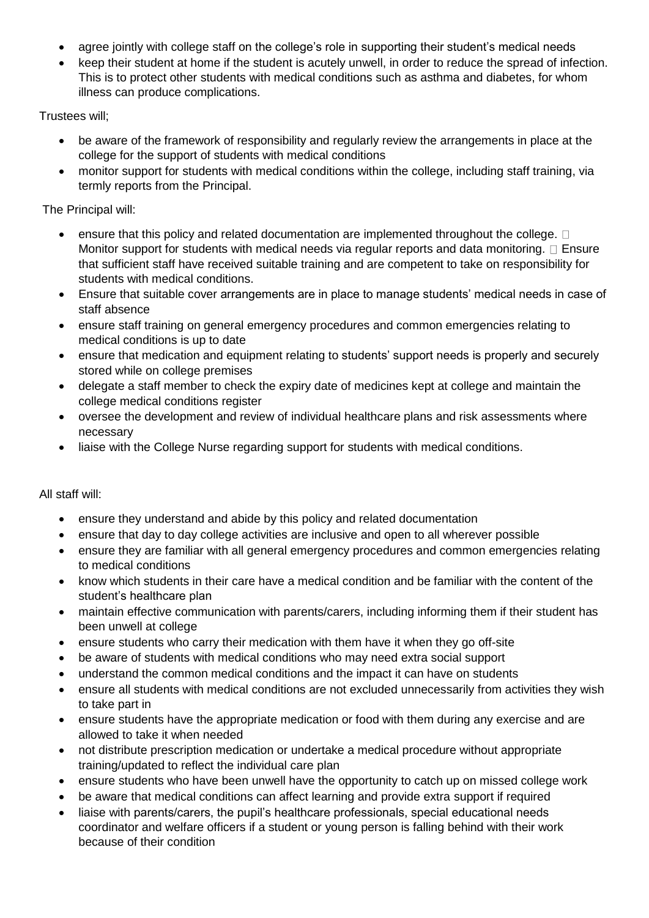- agree jointly with college staff on the college's role in supporting their student's medical needs
- keep their student at home if the student is acutely unwell, in order to reduce the spread of infection. This is to protect other students with medical conditions such as asthma and diabetes, for whom illness can produce complications.

Trustees will;

- be aware of the framework of responsibility and regularly review the arrangements in place at the college for the support of students with medical conditions
- monitor support for students with medical conditions within the college, including staff training, via termly reports from the Principal.

### The Principal will:

- ensure that this policy and related documentation are implemented throughout the college.  $\Box$ Monitor support for students with medical needs via regular reports and data monitoring.  $\Box$  Ensure that sufficient staff have received suitable training and are competent to take on responsibility for students with medical conditions.
- Ensure that suitable cover arrangements are in place to manage students' medical needs in case of staff absence
- ensure staff training on general emergency procedures and common emergencies relating to medical conditions is up to date
- ensure that medication and equipment relating to students' support needs is properly and securely stored while on college premises
- delegate a staff member to check the expiry date of medicines kept at college and maintain the college medical conditions register
- oversee the development and review of individual healthcare plans and risk assessments where necessary
- liaise with the College Nurse regarding support for students with medical conditions.

# All staff will:

- ensure they understand and abide by this policy and related documentation
- ensure that day to day college activities are inclusive and open to all wherever possible
- ensure they are familiar with all general emergency procedures and common emergencies relating to medical conditions
- know which students in their care have a medical condition and be familiar with the content of the student's healthcare plan
- maintain effective communication with parents/carers, including informing them if their student has been unwell at college
- ensure students who carry their medication with them have it when they go off-site
- be aware of students with medical conditions who may need extra social support
- understand the common medical conditions and the impact it can have on students
- ensure all students with medical conditions are not excluded unnecessarily from activities they wish to take part in
- ensure students have the appropriate medication or food with them during any exercise and are allowed to take it when needed
- not distribute prescription medication or undertake a medical procedure without appropriate training/updated to reflect the individual care plan
- ensure students who have been unwell have the opportunity to catch up on missed college work
- be aware that medical conditions can affect learning and provide extra support if required
- liaise with parents/carers, the pupil's healthcare professionals, special educational needs coordinator and welfare officers if a student or young person is falling behind with their work because of their condition